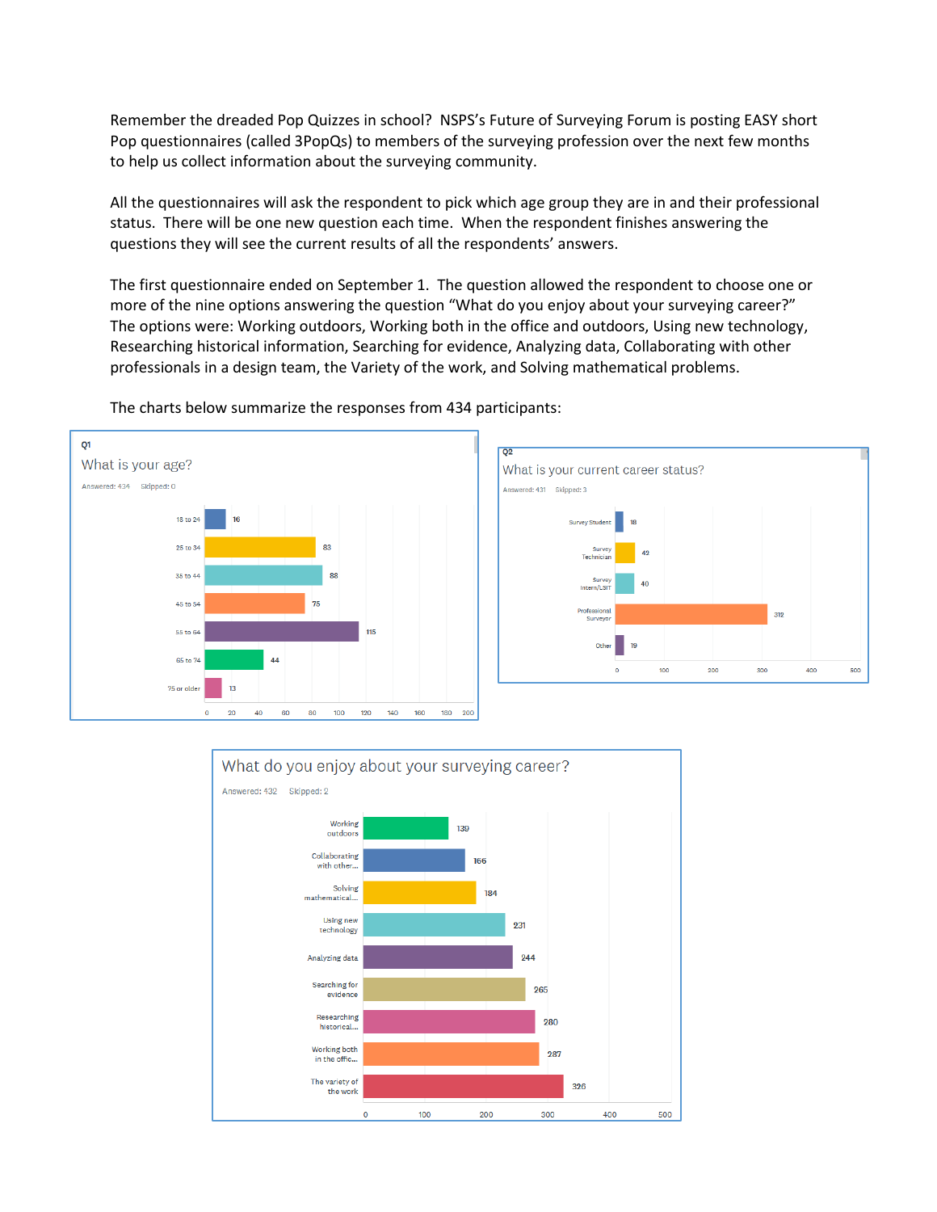Remember the dreaded Pop Quizzes in school? NSPS's Future of Surveying Forum is posting EASY short Pop questionnaires (called 3PopQs) to members of the surveying profession over the next few months to help us collect information about the surveying community.

All the questionnaires will ask the respondent to pick which age group they are in and their professional status. There will be one new question each time. When the respondent finishes answering the questions they will see the current results of all the respondents' answers.

The first questionnaire ended on September 1. The question allowed the respondent to choose one or more of the nine options answering the question "What do you enjoy about your surveying career?" The options were: Working outdoors, Working both in the office and outdoors, Using new technology, Researching historical information, Searching for evidence, Analyzing data, Collaborating with other professionals in a design team, the Variety of the work, and Solving mathematical problems.



The charts below summarize the responses from 434 participants: